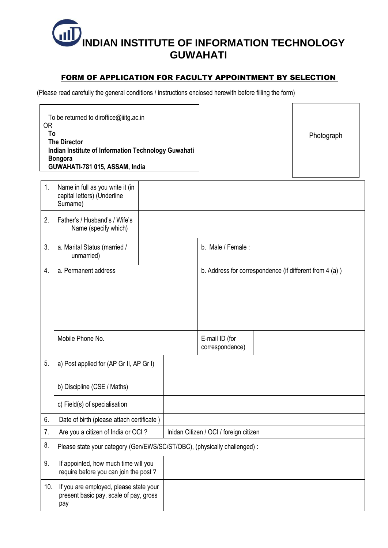

## FORM OF APPLICATION FOR FACULTY APPOINTMENT BY SELECTION

(Please read carefully the general conditions / instructions enclosed herewith before filling the form)

| 1.  | Name in full as you write it (in<br>capital letters) (Underline<br>Surname)             |  |                                        |                                   |                                                         |  |  |
|-----|-----------------------------------------------------------------------------------------|--|----------------------------------------|-----------------------------------|---------------------------------------------------------|--|--|
| 2.  | Father's / Husband's / Wife's<br>Name (specify which)                                   |  |                                        |                                   |                                                         |  |  |
| 3.  | a. Marital Status (married /<br>unmarried)                                              |  |                                        | b. Male / Female:                 |                                                         |  |  |
| 4.  | a. Permanent address                                                                    |  |                                        |                                   | b. Address for correspondence (if different from 4 (a)) |  |  |
|     | Mobile Phone No.                                                                        |  |                                        | E-mail ID (for<br>correspondence) |                                                         |  |  |
| 5.  | a) Post applied for (AP Gr II, AP Gr I)                                                 |  |                                        |                                   |                                                         |  |  |
|     | b) Discipline (CSE / Maths)                                                             |  |                                        |                                   |                                                         |  |  |
|     | c) Field(s) of specialisation                                                           |  |                                        |                                   |                                                         |  |  |
| 6.  | Date of birth (please attach certificate)                                               |  |                                        |                                   |                                                         |  |  |
| 7.  | Are you a citizen of India or OCI?                                                      |  | Inidan Citizen / OCI / foreign citizen |                                   |                                                         |  |  |
| 8.  | Please state your category (Gen/EWS/SC/ST/OBC), (physically challenged) :               |  |                                        |                                   |                                                         |  |  |
| 9.  | If appointed, how much time will you<br>require before you can join the post?           |  |                                        |                                   |                                                         |  |  |
| 10. | If you are employed, please state your<br>present basic pay, scale of pay, gross<br>pay |  |                                        |                                   |                                                         |  |  |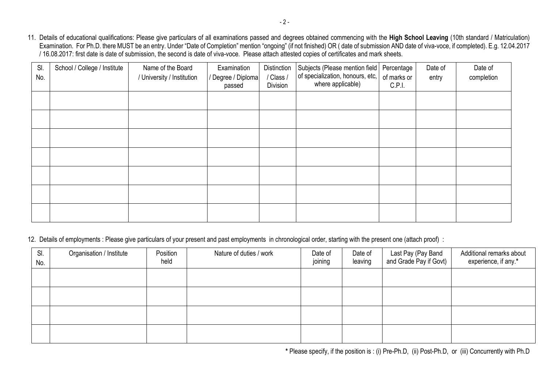11. Details of educational qualifications: Please give particulars of all examinations passed and degrees obtained commencing with the **High School Leaving** (10th standard / Matriculation) Examination. For Ph.D. there MUST be an entry. Under "Date of Completion" mention "ongoing" (if not finished) OR ( date of submission AND date of viva-voce, if completed). E.g. 12.04.2017 / 16.08.2017: first date is date of submission, the second is date of viva-voce. Please attach attested copies of certificates and mark sheets.

| SI.<br>No. | School / College / Institute | Name of the Board<br>/ University / Institution | Examination<br>/ Degree / Diploma<br>passed | Distinction<br>/ Class /<br>Division | Subjects (Please mention field<br>of specialization, honours, etc,<br>where applicable) | Percentage<br>of marks or<br>C.P.I. | Date of<br>entry | Date of<br>completion |
|------------|------------------------------|-------------------------------------------------|---------------------------------------------|--------------------------------------|-----------------------------------------------------------------------------------------|-------------------------------------|------------------|-----------------------|
|            |                              |                                                 |                                             |                                      |                                                                                         |                                     |                  |                       |
|            |                              |                                                 |                                             |                                      |                                                                                         |                                     |                  |                       |
|            |                              |                                                 |                                             |                                      |                                                                                         |                                     |                  |                       |
|            |                              |                                                 |                                             |                                      |                                                                                         |                                     |                  |                       |
|            |                              |                                                 |                                             |                                      |                                                                                         |                                     |                  |                       |
|            |                              |                                                 |                                             |                                      |                                                                                         |                                     |                  |                       |
|            |                              |                                                 |                                             |                                      |                                                                                         |                                     |                  |                       |

12. Details of employments : Please give particulars of your present and past employments in chronological order, starting with the present one (attach proof) :

| SI.<br>No. | Organisation / Institute | Position<br>held | Nature of duties / work | Date of<br>joining | Date of<br>leaving | Last Pay (Pay Band<br>and Grade Pay if Govt) | Additional remarks about<br>experience, if any.* |
|------------|--------------------------|------------------|-------------------------|--------------------|--------------------|----------------------------------------------|--------------------------------------------------|
|            |                          |                  |                         |                    |                    |                                              |                                                  |
|            |                          |                  |                         |                    |                    |                                              |                                                  |
|            |                          |                  |                         |                    |                    |                                              |                                                  |
|            |                          |                  |                         |                    |                    |                                              |                                                  |

**\*** Please specify, if the position is : (i) Pre-Ph.D, (ii) Post-Ph.D, or (iii) Concurrently with Ph.D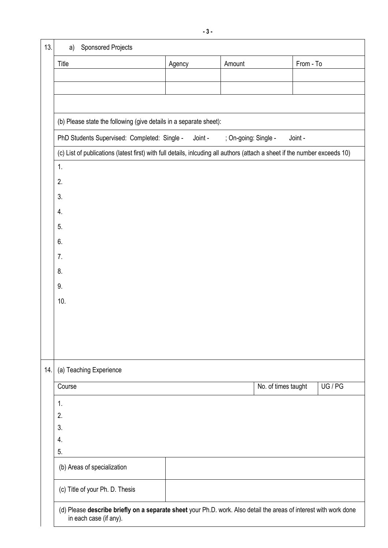| 13. | <b>Sponsored Projects</b><br>a)                                                                                                             |        |                     |           |  |  |  |  |  |
|-----|---------------------------------------------------------------------------------------------------------------------------------------------|--------|---------------------|-----------|--|--|--|--|--|
|     | Title                                                                                                                                       | Agency | Amount              | From - To |  |  |  |  |  |
|     |                                                                                                                                             |        |                     |           |  |  |  |  |  |
|     |                                                                                                                                             |        |                     |           |  |  |  |  |  |
|     |                                                                                                                                             |        |                     |           |  |  |  |  |  |
|     | (b) Please state the following (give details in a separate sheet):                                                                          |        |                     |           |  |  |  |  |  |
|     | PhD Students Supervised: Completed: Single -<br>Joint -<br>; On-going: Single -<br>Joint -                                                  |        |                     |           |  |  |  |  |  |
|     | (c) List of publications (latest first) with full details, inlcuding all authors (attach a sheet if the number exceeds 10)                  |        |                     |           |  |  |  |  |  |
|     | 1.                                                                                                                                          |        |                     |           |  |  |  |  |  |
|     | 2.                                                                                                                                          |        |                     |           |  |  |  |  |  |
|     | 3.                                                                                                                                          |        |                     |           |  |  |  |  |  |
|     | 4.                                                                                                                                          |        |                     |           |  |  |  |  |  |
|     | 5.                                                                                                                                          |        |                     |           |  |  |  |  |  |
|     | 6.                                                                                                                                          |        |                     |           |  |  |  |  |  |
|     | 7.                                                                                                                                          |        |                     |           |  |  |  |  |  |
|     | 8.                                                                                                                                          |        |                     |           |  |  |  |  |  |
|     | 9.                                                                                                                                          |        |                     |           |  |  |  |  |  |
|     | 10.                                                                                                                                         |        |                     |           |  |  |  |  |  |
|     |                                                                                                                                             |        |                     |           |  |  |  |  |  |
|     |                                                                                                                                             |        |                     |           |  |  |  |  |  |
|     |                                                                                                                                             |        |                     |           |  |  |  |  |  |
|     |                                                                                                                                             |        |                     |           |  |  |  |  |  |
| 14. | (a) Teaching Experience                                                                                                                     |        |                     |           |  |  |  |  |  |
|     | Course                                                                                                                                      |        | No. of times taught | UG / PG   |  |  |  |  |  |
|     | 1.                                                                                                                                          |        |                     |           |  |  |  |  |  |
|     | 2.                                                                                                                                          |        |                     |           |  |  |  |  |  |
|     | 3.<br>4.                                                                                                                                    |        |                     |           |  |  |  |  |  |
|     | 5.                                                                                                                                          |        |                     |           |  |  |  |  |  |
|     | (b) Areas of specialization                                                                                                                 |        |                     |           |  |  |  |  |  |
|     | (c) Title of your Ph. D. Thesis                                                                                                             |        |                     |           |  |  |  |  |  |
|     | (d) Please describe briefly on a separate sheet your Ph.D. work. Also detail the areas of interest with work done<br>in each case (if any). |        |                     |           |  |  |  |  |  |